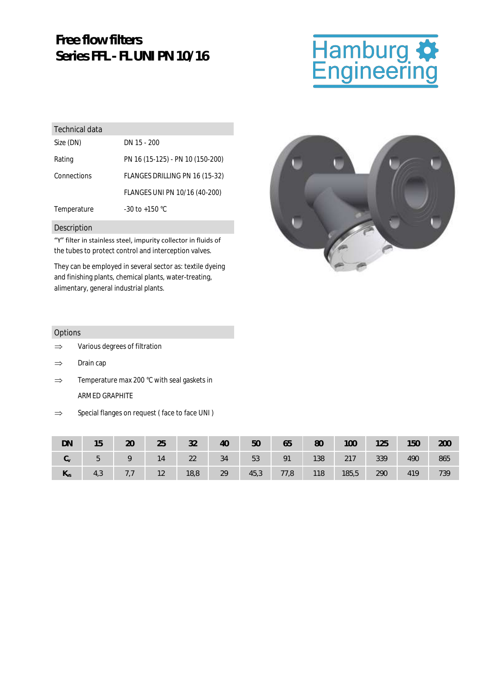## **Free flow filters Series FFL - FL UNI PN 10/16**

# Hamburg **\***<br>Engineering

| Technical data |                                  |
|----------------|----------------------------------|
| Size (DN)      | DN 15 - 200                      |
| Rating         | PN 16 (15-125) - PN 10 (150-200) |
| Connections    | FLANGES DRILLING PN 16 (15-32)   |
|                | FLANGES UNI PN 10/16 (40-200)    |
| Temperature    | $-30$ to $+150$ °C               |
|                |                                  |

#### Description

"Y" filter in stainless steel, impurity collector in fluids of the tubes to protect control and interception valves.

They can be employed in several sector as: textile dyeing and finishing plants, chemical plants, water-treating, alimentary, general industrial plants.



#### Options

- $\Rightarrow$  Various degrees of filtration
- $\Rightarrow$  Drain cap
- $\Rightarrow$  Temperature max 200 °C with seal gaskets in ARMED GRAPHITE
- $\Rightarrow$  Special flanges on request (face to face UNI)

| DN         | 15  | 20  | 25 | 32   | 40 | 50   | 65   | 80  | 100   | 125 | 150 | 200 |
|------------|-----|-----|----|------|----|------|------|-----|-------|-----|-----|-----|
| $C_{\vee}$ | 5   | Q   | 14 | 22   | 34 | 53   | 91   | 138 | 217   | 339 | 490 | 865 |
| $N_{VS}$   | 4,3 | 7,7 | 12 | 18,8 | 29 | 45,3 | 77,8 | 118 | 185,5 | 290 | 419 | 739 |